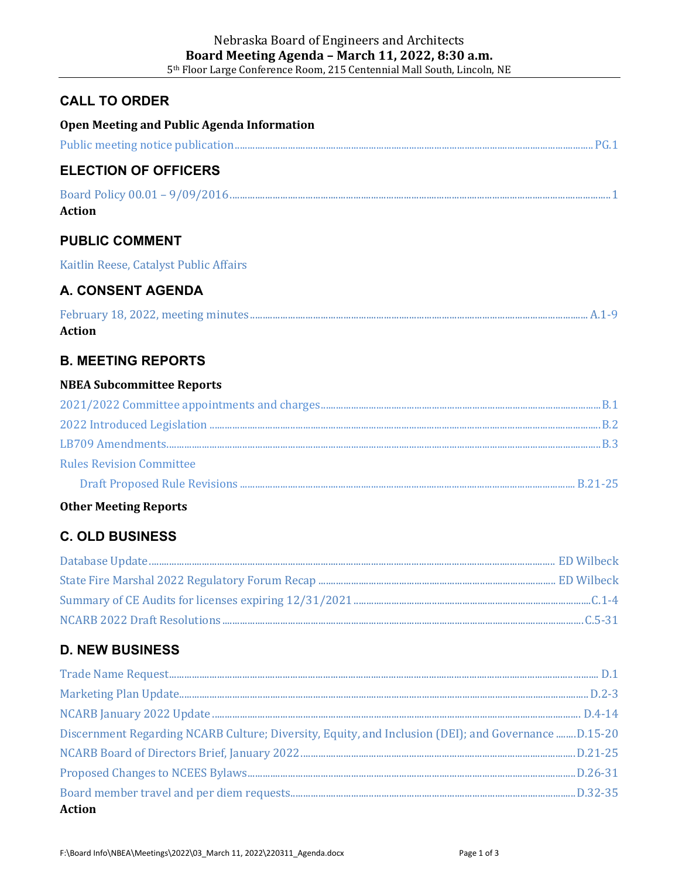## **CALL TO ORDER**

**Open Meeting and Public Agenda Information**

| <b>ELECTION OF OFFICERS</b>                                                                         |  |
|-----------------------------------------------------------------------------------------------------|--|
| <b>Action</b>                                                                                       |  |
| <b>PUBLIC COMMENT</b>                                                                               |  |
| Kaitlin Reese, Catalyst Public Affairs                                                              |  |
| <b>A. CONSENT AGENDA</b>                                                                            |  |
| <b>Action</b>                                                                                       |  |
| <b>B. MEETING REPORTS</b>                                                                           |  |
| <b>NBEA Subcommittee Reports</b>                                                                    |  |
|                                                                                                     |  |
|                                                                                                     |  |
|                                                                                                     |  |
| <b>Rules Revision Committee</b>                                                                     |  |
|                                                                                                     |  |
| <b>Other Meeting Reports</b>                                                                        |  |
| <b>C. OLD BUSINESS</b>                                                                              |  |
|                                                                                                     |  |
|                                                                                                     |  |
|                                                                                                     |  |
|                                                                                                     |  |
| <b>D. NEW BUSINESS</b>                                                                              |  |
|                                                                                                     |  |
|                                                                                                     |  |
|                                                                                                     |  |
| Discernment Regarding NCARB Culture; Diversity, Equity, and Inclusion (DEI); and Governance D.15-20 |  |
|                                                                                                     |  |
|                                                                                                     |  |
| <b>Action</b>                                                                                       |  |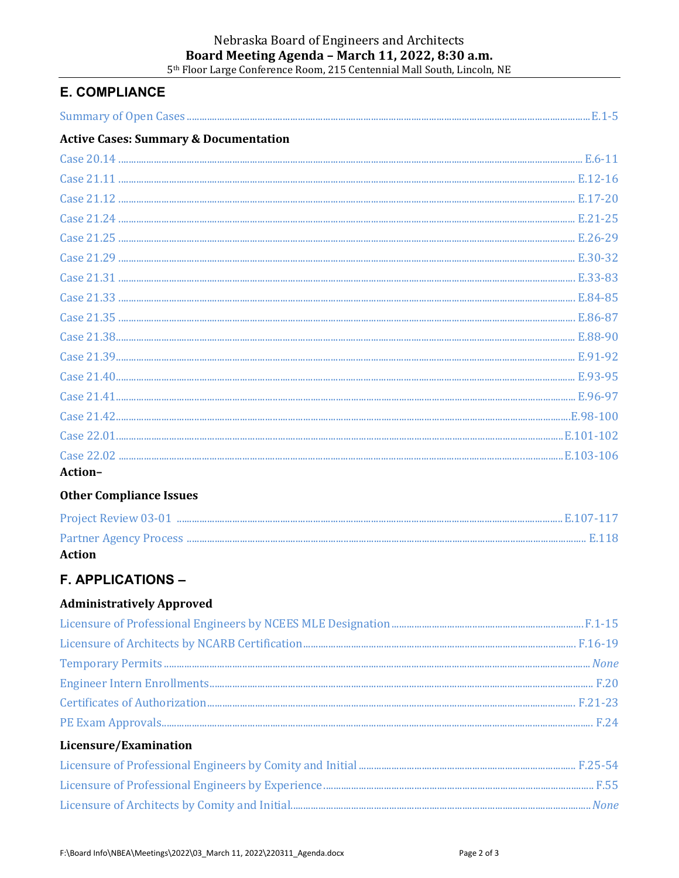# Nebraska Board of Engineers and Architects Board Meeting Agenda - March 11, 2022, 8:30 a.m.

5<sup>th</sup> Floor Large Conference Room, 215 Centennial Mall South, Lincoln, NE

# **E. COMPLIANCE**

| <b>Active Cases: Summary &amp; Documentation</b> |  |
|--------------------------------------------------|--|
|                                                  |  |
|                                                  |  |
|                                                  |  |
|                                                  |  |
|                                                  |  |
|                                                  |  |
|                                                  |  |
|                                                  |  |
|                                                  |  |
|                                                  |  |
|                                                  |  |
|                                                  |  |
|                                                  |  |
|                                                  |  |
|                                                  |  |
|                                                  |  |
| Action-                                          |  |
| <b>Other Compliance Issues</b>                   |  |
|                                                  |  |
|                                                  |  |
| <b>Action</b>                                    |  |

# **F. APPLICATIONS -**

## **Administratively Approved**

#### Licensure/Examination